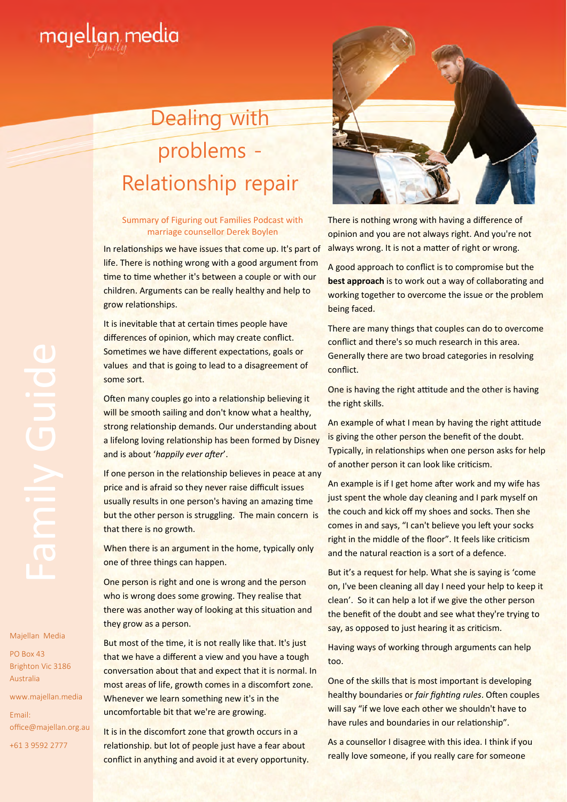

## Dealing with problems - Relationship repair

## Summary of Figuring out Families Podcast with marriage counsellor Derek Boylen

In relationships we have issues that come up. It's part of life. There is nothing wrong with a good argument from time to time whether it's between a couple or with our children. Arguments can be really healthy and help to grow relationships.

It is inevitable that at certain times people have differences of opinion, which may create conflict. Sometimes we have different expectations, goals or values and that is going to lead to a disagreement of some sort.

Often many couples go into a relationship believing it will be smooth sailing and don't know what a healthy, strong relationship demands. Our understanding about a lifelong loving relationship has been formed by Disney and is about 'happily ever after'.

If one person in the relationship believes in peace at any price and is afraid so they never raise difficult issues usually results in one person's having an amazing time but the other person is struggling. The main concern is that there is no growth.

When there is an argument in the home, typically only one of three things can happen.

One person is right and one is wrong and the person who is wrong does some growing. They realise that there was another way of looking at this situation and they grow as a person.

But most of the time, it is not really like that. It's just that we have a different a view and you have a tough conversation about that and expect that it is normal. In most areas of life, growth comes in a discomfort zone. Whenever we learn something new it's in the uncomfortable bit that we're are growing.

It is in the discomfort zone that growth occurs in a relationship. but lot of people just have a fear about conflict in anything and avoid it at every opportunity.



There is nothing wrong with having a difference of opinion and you are not always right. And you're not always wrong. It is not a matter of right or wrong.

A good approach to conflict is to compromise but the **best approach** is to work out a way of collaborating and working together to overcome the issue or the problem being faced.

There are many things that couples can do to overcome conflict and there's so much research in this area. Generally there are two broad categories in resolving conflict.

One is having the right attitude and the other is having the right skills.

An example of what I mean by having the right attitude is giving the other person the benefit of the doubt. Typically, in relationships when one person asks for help of another person it can look like criticism.

An example is if I get home after work and my wife has just spent the whole day cleaning and I park myself on the couch and kick off my shoes and socks. Then she comes in and says, "I can't believe you left your socks right in the middle of the floor". It feels like criticism and the natural reaction is a sort of a defence.

But it's a request for help. What she is saying is 'come on, I've been cleaning all day I need your help to keep it clean'. So it can help a lot if we give the other person the benefit of the doubt and see what they're trying to say, as opposed to just hearing it as criticism.

Having ways of working through arguments can help too.

One of the skills that is most important is developing healthy boundaries or *fair fighting rules*. Often couples will say "if we love each other we shouldn't have to have rules and boundaries in our relationship".

As a counsellor I disagree with this idea. I think if you really love someone, if you really care for someone

Majellan Media

PO Box 43 Brighton Vic 3186 Australia

www.majellan.media Email: office@majellan.org.au +61 3 9592 2777